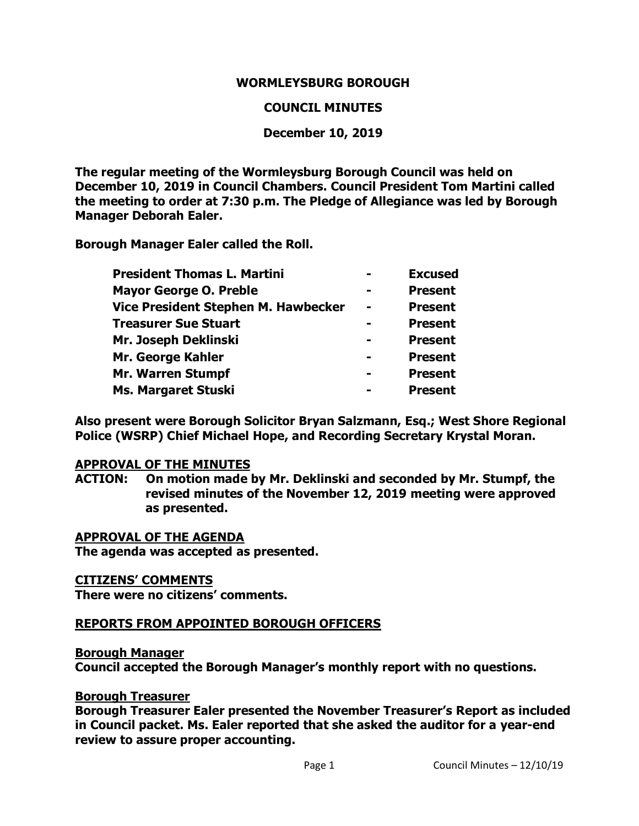#### **WORMLEYSBURG BOROUGH**

#### **COUNCIL MINUTES**

#### **December 10, 2019**

**The regular meeting of the Wormleysburg Borough Council was held on December 10, 2019 in Council Chambers. Council President Tom Martini called the meeting to order at 7:30 p.m. The Pledge of Allegiance was led by Borough Manager Deborah Ealer.**

**Borough Manager Ealer called the Roll.**

| <b>President Thomas L. Martini</b>  | <b>Excused</b> |
|-------------------------------------|----------------|
| <b>Mayor George O. Preble</b>       | <b>Present</b> |
| Vice President Stephen M. Hawbecker | <b>Present</b> |
| <b>Treasurer Sue Stuart</b>         | <b>Present</b> |
| Mr. Joseph Deklinski                | <b>Present</b> |
| Mr. George Kahler                   | <b>Present</b> |
| Mr. Warren Stumpf                   | <b>Present</b> |
| <b>Ms. Margaret Stuski</b>          | <b>Present</b> |

**Also present were Borough Solicitor Bryan Salzmann, Esq.; West Shore Regional Police (WSRP) Chief Michael Hope, and Recording Secretary Krystal Moran.** 

#### **APPROVAL OF THE MINUTES**

**ACTION: On motion made by Mr. Deklinski and seconded by Mr. Stumpf, the revised minutes of the November 12, 2019 meeting were approved as presented.**

**APPROVAL OF THE AGENDA The agenda was accepted as presented.** 

#### **CITIZENS' COMMENTS**

**There were no citizens' comments.** 

#### **REPORTS FROM APPOINTED BOROUGH OFFICERS**

#### **Borough Manager**

**Council accepted the Borough Manager's monthly report with no questions.**

#### **Borough Treasurer**

**Borough Treasurer Ealer presented the November Treasurer's Report as included in Council packet. Ms. Ealer reported that she asked the auditor for a year-end review to assure proper accounting.**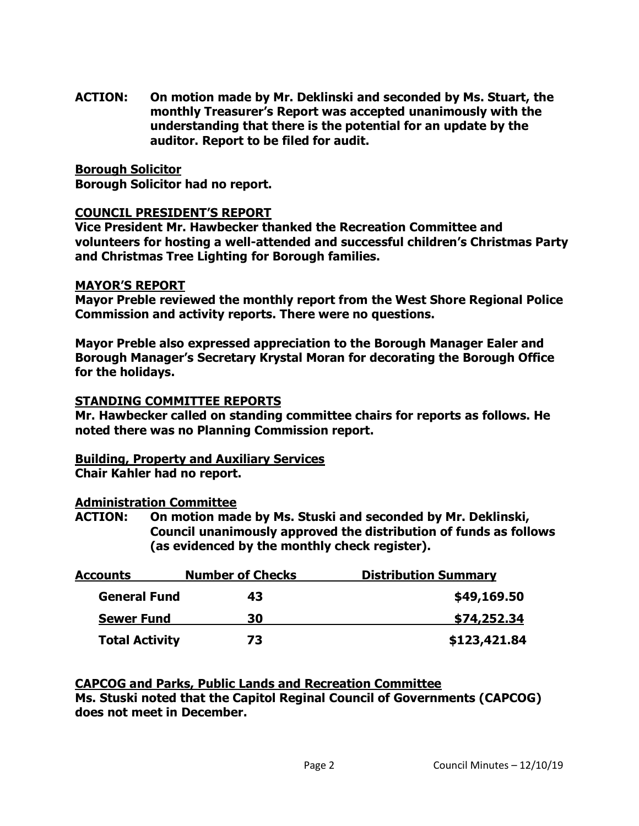**ACTION: On motion made by Mr. Deklinski and seconded by Ms. Stuart, the monthly Treasurer's Report was accepted unanimously with the understanding that there is the potential for an update by the auditor. Report to be filed for audit.**

#### **Borough Solicitor**

**Borough Solicitor had no report.**

#### **COUNCIL PRESIDENT'S REPORT**

**Vice President Mr. Hawbecker thanked the Recreation Committee and volunteers for hosting a well-attended and successful children's Christmas Party and Christmas Tree Lighting for Borough families.**

#### **MAYOR'S REPORT**

**Mayor Preble reviewed the monthly report from the West Shore Regional Police Commission and activity reports. There were no questions.** 

**Mayor Preble also expressed appreciation to the Borough Manager Ealer and Borough Manager's Secretary Krystal Moran for decorating the Borough Office for the holidays.**

#### **STANDING COMMITTEE REPORTS**

**Mr. Hawbecker called on standing committee chairs for reports as follows. He noted there was no Planning Commission report.** 

## **Building, Property and Auxiliary Services**

**Chair Kahler had no report.**

### **Administration Committee**

**ACTION: On motion made by Ms. Stuski and seconded by Mr. Deklinski, Council unanimously approved the distribution of funds as follows (as evidenced by the monthly check register).**

| <b>Accounts</b>       | <b>Number of Checks</b> | <b>Distribution Summary</b> |
|-----------------------|-------------------------|-----------------------------|
| <b>General Fund</b>   | 43                      | \$49,169.50                 |
| <b>Sewer Fund</b>     | 30                      | \$74,252.34                 |
| <b>Total Activity</b> | 73                      | \$123,421.84                |

# **CAPCOG and Parks, Public Lands and Recreation Committee**

**Ms. Stuski noted that the Capitol Reginal Council of Governments (CAPCOG) does not meet in December.**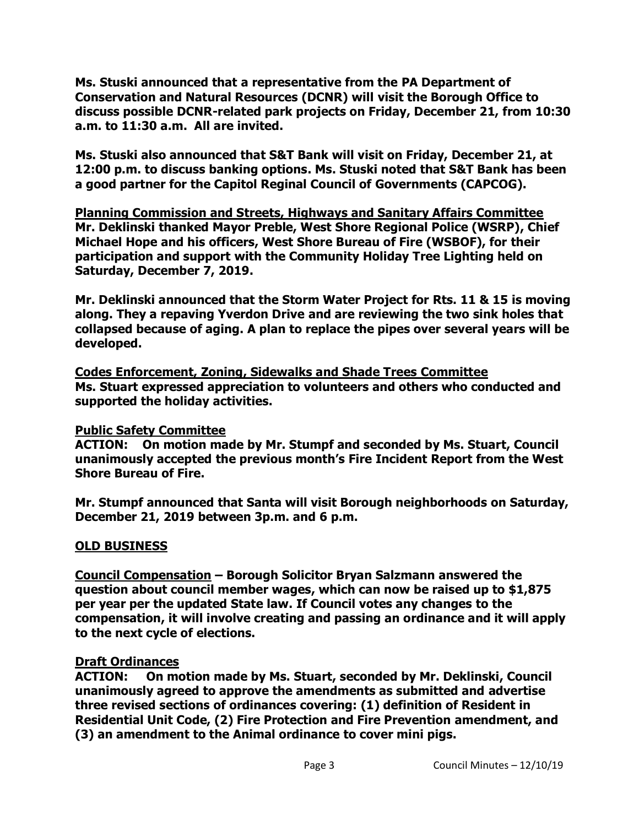**Ms. Stuski announced that a representative from the PA Department of Conservation and Natural Resources (DCNR) will visit the Borough Office to discuss possible DCNR-related park projects on Friday, December 21, from 10:30 a.m. to 11:30 a.m. All are invited.** 

**Ms. Stuski also announced that S&T Bank will visit on Friday, December 21, at 12:00 p.m. to discuss banking options. Ms. Stuski noted that S&T Bank has been a good partner for the Capitol Reginal Council of Governments (CAPCOG).** 

**Planning Commission and Streets, Highways and Sanitary Affairs Committee Mr. Deklinski thanked Mayor Preble, West Shore Regional Police (WSRP), Chief Michael Hope and his officers, West Shore Bureau of Fire (WSBOF), for their participation and support with the Community Holiday Tree Lighting held on Saturday, December 7, 2019.**

**Mr. Deklinski announced that the Storm Water Project for Rts. 11 & 15 is moving along. They a repaving Yverdon Drive and are reviewing the two sink holes that collapsed because of aging. A plan to replace the pipes over several years will be developed.**

**Codes Enforcement, Zoning, Sidewalks and Shade Trees Committee Ms. Stuart expressed appreciation to volunteers and others who conducted and supported the holiday activities.**

## **Public Safety Committee**

**ACTION: On motion made by Mr. Stumpf and seconded by Ms. Stuart, Council unanimously accepted the previous month's Fire Incident Report from the West Shore Bureau of Fire.**

**Mr. Stumpf announced that Santa will visit Borough neighborhoods on Saturday, December 21, 2019 between 3p.m. and 6 p.m.**

## **OLD BUSINESS**

**Council Compensation – Borough Solicitor Bryan Salzmann answered the question about council member wages, which can now be raised up to \$1,875 per year per the updated State law. If Council votes any changes to the compensation, it will involve creating and passing an ordinance and it will apply to the next cycle of elections.**

## **Draft Ordinances**

**ACTION: On motion made by Ms. Stuart, seconded by Mr. Deklinski, Council unanimously agreed to approve the amendments as submitted and advertise three revised sections of ordinances covering: (1) definition of Resident in Residential Unit Code, (2) Fire Protection and Fire Prevention amendment, and (3) an amendment to the Animal ordinance to cover mini pigs.**